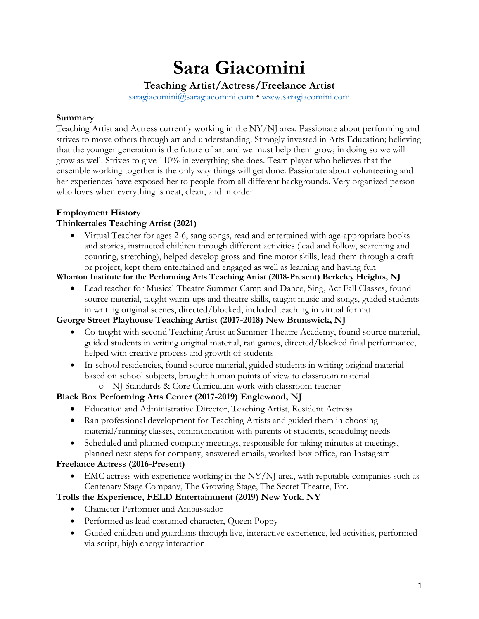# **Sara Giacomini**

**Teaching Artist/Actress/Freelance Artist**

saragiacomini@saragiacomini.com • www.saragiacomini.com

## **Summary**

Teaching Artist and Actress currently working in the NY/NJ area. Passionate about performing and strives to move others through art and understanding. Strongly invested in Arts Education; believing that the younger generation is the future of art and we must help them grow; in doing so we will grow as well. Strives to give 110% in everything she does. Team player who believes that the ensemble working together is the only way things will get done. Passionate about volunteering and her experiences have exposed her to people from all different backgrounds. Very organized person who loves when everything is neat, clean, and in order.

# **Employment History**

# **Thinkertales Teaching Artist (2021)**

• Virtual Teacher for ages 2-6, sang songs, read and entertained with age-appropriate books and stories, instructed children through different activities (lead and follow, searching and counting, stretching), helped develop gross and fine motor skills, lead them through a craft or project, kept them entertained and engaged as well as learning and having fun

**Wharton Institute for the Performing Arts Teaching Artist (2018-Present) Berkeley Heights, NJ**

• Lead teacher for Musical Theatre Summer Camp and Dance, Sing, Act Fall Classes, found source material, taught warm-ups and theatre skills, taught music and songs, guided students in writing original scenes, directed/blocked, included teaching in virtual format

# **George Street Playhouse Teaching Artist (2017-2018) New Brunswick, NJ**

- Co-taught with second Teaching Artist at Summer Theatre Academy, found source material, guided students in writing original material, ran games, directed/blocked final performance, helped with creative process and growth of students
- In-school residencies, found source material, guided students in writing original material based on school subjects, brought human points of view to classroom material

# o NJ Standards & Core Curriculum work with classroom teacher

# **Black Box Performing Arts Center (2017-2019) Englewood, NJ**

- Education and Administrative Director, Teaching Artist, Resident Actress
- Ran professional development for Teaching Artists and guided them in choosing material/running classes, communication with parents of students, scheduling needs
- Scheduled and planned company meetings, responsible for taking minutes at meetings, planned next steps for company, answered emails, worked box office, ran Instagram

# **Freelance Actress (2016-Present)**

• EMC actress with experience working in the  $NY/N$  area, with reputable companies such as Centenary Stage Company, The Growing Stage, The Secret Theatre, Etc.

# **Trolls the Experience, FELD Entertainment (2019) New York. NY**

- Character Performer and Ambassador
- Performed as lead costumed character, Oueen Poppy
- Guided children and guardians through live, interactive experience, led activities, performed via script, high energy interaction